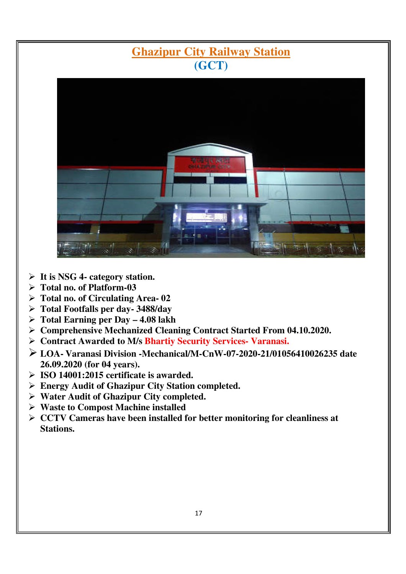# **Ghazipur City Railway Station (GCT)**



- **It is NSG 4- category station.**
- **Total no. of Platform-03**
- **Total no. of Circulating Area- 02**
- **Total Footfalls per day- 3488/day**
- **Total Earning per Day 4.08 lakh**
- **Comprehensive Mechanized Cleaning Contract Started From 04.10.2020.**
- **Contract Awarded to M/s Bhartiy Security Services- Varanasi.**
- **LOA- Varanasi Division -Mechanical/M-CnW-07-2020-21/01056410026235 date 26.09.2020 (for 04 years).**
- **ISO 14001:2015 certificate is awarded.**
- **Energy Audit of Ghazipur City Station completed.**
- **Water Audit of Ghazipur City completed.**
- **Waste to Compost Machine installed**
- **CCTV Cameras have been installed for better monitoring for cleanliness at Stations.**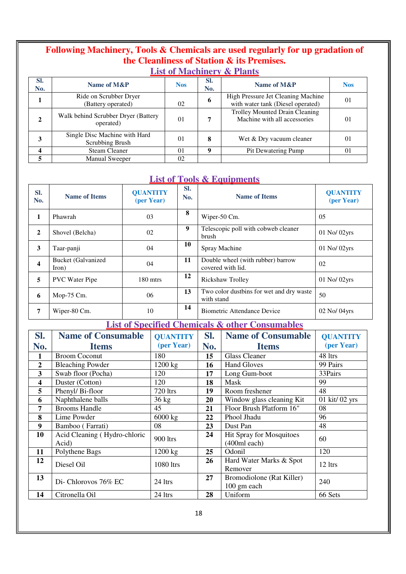## **Following Machinery, Tools & Chemicals are used regularly for up gradation of the Cleanliness of Station & its Premises.**

### **List of Machinery & Plants**

| SI.<br>No. | Name of M&P                                      | <b>Nos</b>     | SI.<br>No. | Name of M&P                                                             | <b>Nos</b> |
|------------|--------------------------------------------------|----------------|------------|-------------------------------------------------------------------------|------------|
|            | Ride on Scrubber Dryer<br>(Battery operated)     | 02             | o          | High Pressure Jet Cleaning Machine<br>with water tank (Diesel operated) | 01         |
| 2          | Walk behind Scrubber Dryer (Battery<br>operated) | 0 <sup>1</sup> |            | Trolley Mounted Drain Cleaning<br>Machine with all accessories          | 01         |
|            | Single Disc Machine with Hard<br>Scrubbing Brush | 01             | 8          | Wet & Dry vacuum cleaner                                                | 01         |
|            | <b>Steam Cleaner</b>                             | 01             | Q          | Pit Dewatering Pump                                                     | 01         |
|            | <b>Manual Sweeper</b>                            | 02             |            |                                                                         |            |

#### **List of Tools & Equipments**

| SI.<br>No.              | <b>Name of Items</b>               | <b>QUANTITY</b><br>(per Year) | Sl.<br>No. | <b>Name of Items</b>                                   | <b>QUANTITY</b><br>(per Year) |
|-------------------------|------------------------------------|-------------------------------|------------|--------------------------------------------------------|-------------------------------|
| 1                       | Phawrah                            | 03                            | 8          | Wiper-50 Cm.                                           | 05                            |
| $\overline{2}$          | Shovel (Belcha)                    | 02                            | 9          | Telescopic poll with cobweb cleaner<br>brush           | $01$ No/ $02$ yrs             |
| 3                       | Taar-panji                         | 04                            | 10         | Spray Machine                                          | 01 No/ 02yrs                  |
| $\overline{\mathbf{4}}$ | <b>Bucket</b> (Galvanized<br>Iron) | 04                            | 11         | Double wheel (with rubber) barrow<br>covered with lid. | 02                            |
| 5                       | <b>PVC</b> Water Pipe              | 180 mtrs                      | 12         | Rickshaw Trolley                                       | $01$ No/ $02$ yrs             |
| 6                       | Mop-75 Cm.                         | 06                            | 13         | Two color dustbins for wet and dry waste<br>with stand | 50                            |
| 7                       | Wiper-80 Cm.                       | 10                            | 14         | <b>Biometric Attendance Device</b>                     | $02$ No/ $04$ yrs             |

**List of Specified Chemicals & other Consumables**

| SI.                     | <b>Name of Consumable</b>             | <b>QUANTITY</b> | SI.<br><b>Name of Consumable</b> |                                          | <b>QUANTITY</b> |
|-------------------------|---------------------------------------|-----------------|----------------------------------|------------------------------------------|-----------------|
| No.                     | <b>Items</b>                          | (per Year)      | No.                              | <b>Items</b>                             | (per Year)      |
| 1                       | <b>Broom Coconut</b>                  | 180             | 15                               | <b>Glass Cleaner</b>                     | 48 ltrs         |
| $\overline{2}$          | <b>Bleaching Powder</b>               | 1200 kg         | 16                               | <b>Hand Gloves</b>                       | 99 Pairs        |
| 3                       | Swab floor (Pocha)                    | 120             | 17                               | Long Gum-boot                            | 33Pairs         |
| $\overline{\mathbf{4}}$ | Duster (Cotton)                       | 120             | 18                               | Mask                                     | 99              |
| 5                       | Phenyl/Bi-floor                       | 720 ltrs        | 19                               | Room freshener                           | 48              |
| 6                       | Naphthalene balls                     | $36 \text{ kg}$ | 20                               | Window glass cleaning Kit                | 01 kit/ 02 yrs  |
| 7                       | <b>Brooms Handle</b>                  | 45              | 21                               | Floor Brush Platform 16"                 | 08              |
| 8                       | Lime Powder                           | 6000 kg         | 22                               | Phool Jhadu                              | 96              |
| 9                       | Bamboo (Farrati)                      | 08              | 23                               | Dust Pan                                 | 48              |
| 10                      | Acid Cleaning (Hydro-chloric<br>Acid) | 900 ltrs        | 24                               | Hit Spray for Mosquitoes<br>(400ml each) | 60              |
| 11                      | Polythene Bags                        | 1200 kg         | 25                               | Odonil                                   | 120             |
| 12                      | Diesel Oil                            | 1080 ltrs       | 26                               | Hard Water Marks & Spot<br>Remover       | 12 ltrs         |
| 13                      | Di-Chlorovos 76% EC                   | 24 ltrs         | 27                               | Bromodiolone (Rat Killer)<br>100 gm each | 240             |
| 14                      | Citronella Oil                        | 24 ltrs         | 28                               | Uniform                                  | 66 Sets         |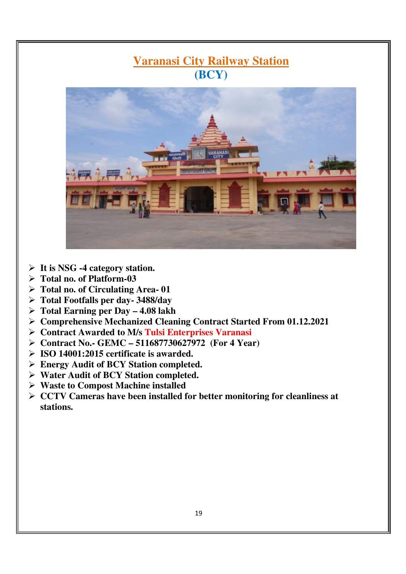# **Varanasi City Railway Station (BCY)**



- **It is NSG -4 category station.**
- **Total no. of Platform-03**
- **Total no. of Circulating Area- 01**
- **Total Footfalls per day- 3488/day**
- **Total Earning per Day 4.08 lakh**
- **Comprehensive Mechanized Cleaning Contract Started From 01.12.2021**
- **Contract Awarded to M/s Tulsi Enterprises Varanasi**
- **Contract No.- GEMC 511687730627972 (For 4 Year)**
- **ISO 14001:2015 certificate is awarded.**
- **Energy Audit of BCY Station completed.**
- **Water Audit of BCY Station completed.**
- **Waste to Compost Machine installed**
- **CCTV Cameras have been installed for better monitoring for cleanliness at stations.**